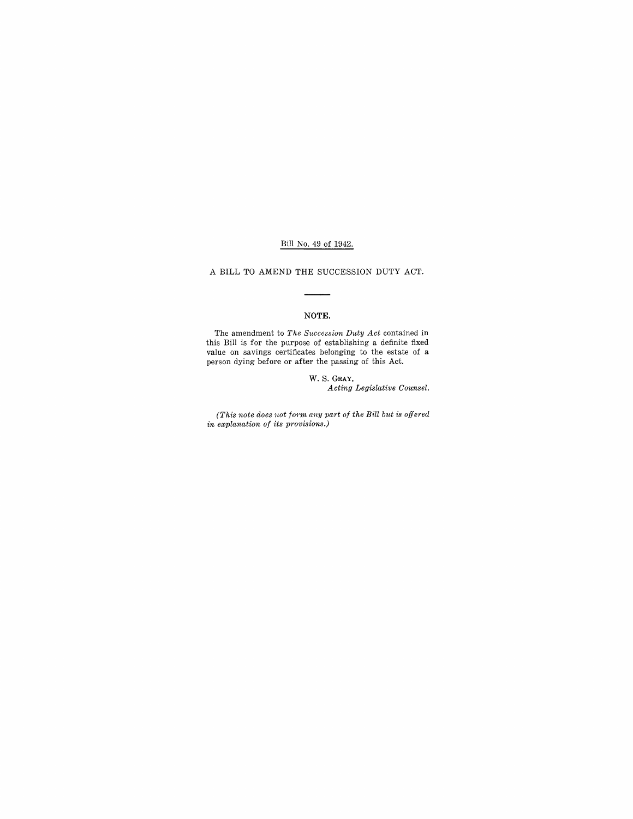### Bill No. 49 of 1942.

A BILL TO AMEND THE SUCCESSION DUTY ACT.

## NOTE.

The amendment to *The Succession Duty Act* contained in this Bill is for the purpose of establishing a definite fixed value on savings certificates belonging to the estate of a person dying before or after the passing of this Act.

> W. S. GRAY, *Acting Legislative Counsel.*

*(This note does not form any part of the Bill but is offered in explanation of its provisions.)*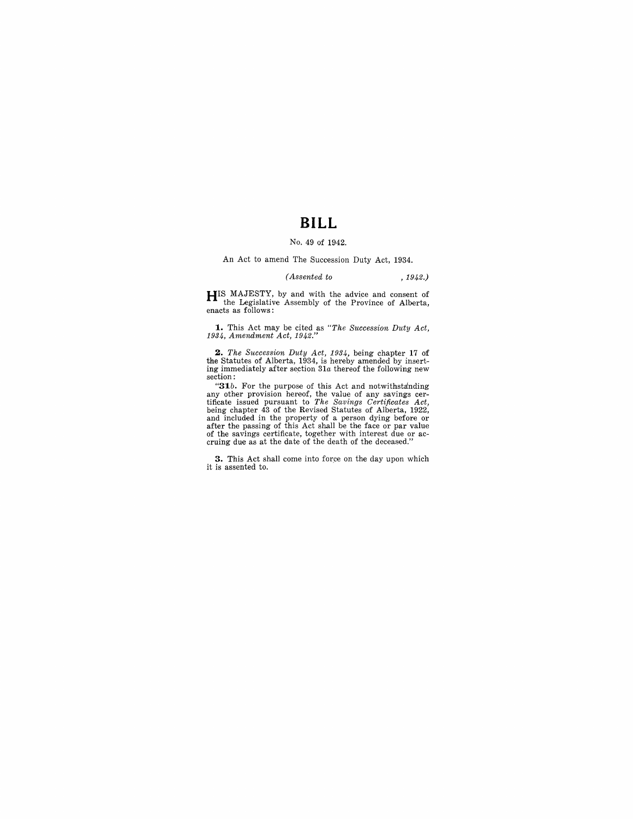# **BILL**

#### No. 49 of 1942.

An Act to amend The Succession Duty Act, 1934.

### *(Assented to* ,1942.)

**HIS** MAJESTY, by and with the advice and consent of the Legislative Assembly of the Province of Alberta, enacts as follows:

**1.** This Act may be cited as "The Succession Duty Act,  $1934$ , Amendment Act,  $1942$ ."

**2.** *The Succession Duty Act, 1934*, being chapter 17 of the Statutes of Alberta, 1934, is hereby amended by inserting immediately after section 31*a* thereof the following new section:

"31*b*. For the purpose of this Act and notwithstanding any other provision hereof, the value of any savings certificate issued pursuant to *The Savings Certificates Act*, being chapter 43 of the Revised Statutes of Alber and included in the property of a person dying before or after the passing of this Act shall be the face or par value of the savings certificate, together with interest due or ac- cruing due as at the date of the death of the deceased."

**3.** This Act shall come into force on the day upon which it is assented to.